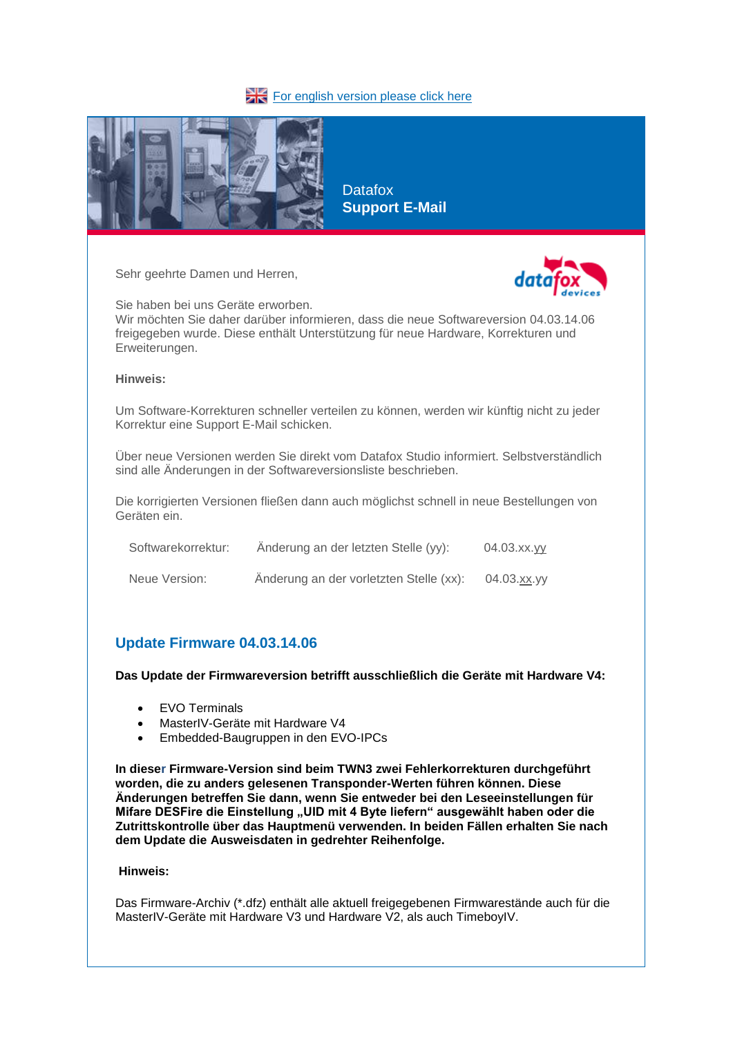### [For english version please click here](about:blank)



**Datafox Support E-Mail**

Sehr geehrte Damen und Herren,



Sie haben bei uns Geräte erworben. Wir möchten Sie daher darüber informieren, dass die neue Softwareversion 04.03.14.06 freigegeben wurde. Diese enthält Unterstützung für neue Hardware, Korrekturen und

#### **Hinweis:**

Erweiterungen.

Um Software-Korrekturen schneller verteilen zu können, werden wir künftig nicht zu jeder Korrektur eine Support E-Mail schicken.

Über neue Versionen werden Sie direkt vom Datafox Studio informiert. Selbstverständlich sind alle Änderungen in der Softwareversionsliste beschrieben.

Die korrigierten Versionen fließen dann auch möglichst schnell in neue Bestellungen von Geräten ein.

| Softwarekorrektur: | Änderung an der letzten Stelle (yy):    | 04.03.xx.yy |
|--------------------|-----------------------------------------|-------------|
| Neue Version:      | Änderung an der vorletzten Stelle (xx): | 04.03.xx.yy |

# **Update Firmware 04.03.14.06**

**Das Update der Firmwareversion betrifft ausschließlich die Geräte mit Hardware V4:**

- EVO Terminals
- MasterIV-Geräte mit Hardware V4
- Embedded-Baugruppen in den EVO-IPCs

**In dieser Firmware-Version sind beim TWN3 zwei Fehlerkorrekturen durchgeführt worden, die zu anders gelesenen Transponder-Werten führen können. Diese Änderungen betreffen Sie dann, wenn Sie entweder bei den Leseeinstellungen für Mifare DESFire die Einstellung "UID mit 4 Byte liefern" ausgewählt haben oder die Zutrittskontrolle über das Hauptmenü verwenden. In beiden Fällen erhalten Sie nach dem Update die Ausweisdaten in gedrehter Reihenfolge.**

### **Hinweis:**

Das Firmware-Archiv (\*.dfz) enthält alle aktuell freigegebenen Firmwarestände auch für die MasterIV-Geräte mit Hardware V3 und Hardware V2, als auch TimeboyIV.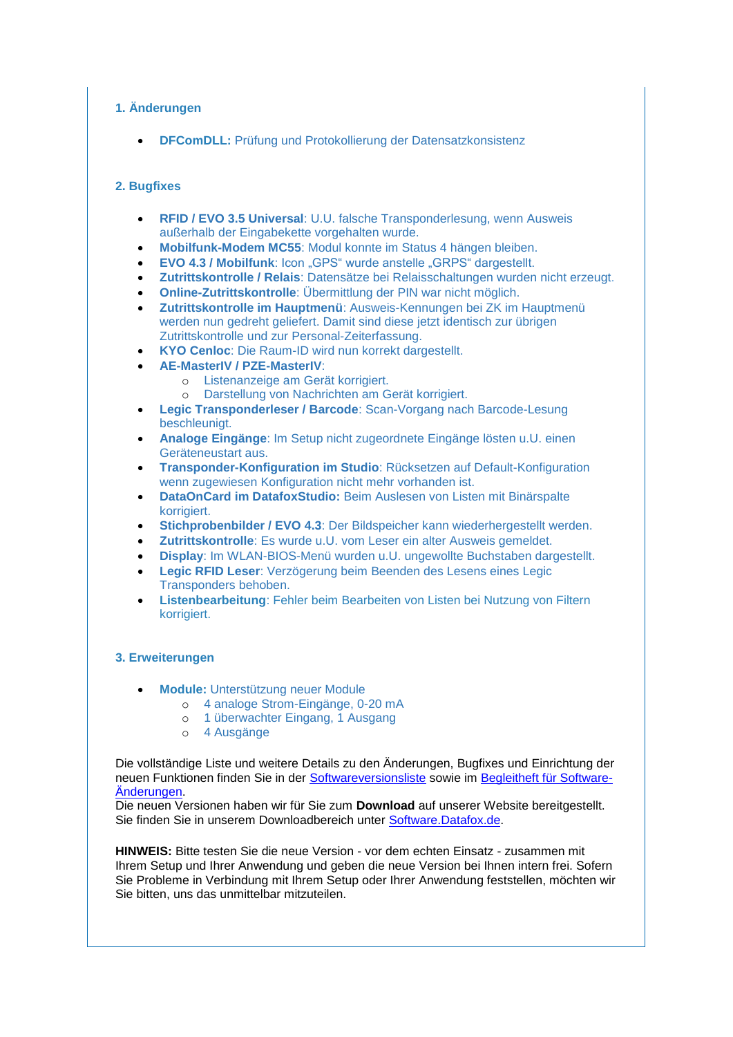## **1. Änderungen**

**DFComDLL:** Prüfung und Protokollierung der Datensatzkonsistenz

## **2. Bugfixes**

- **RFID / EVO 3.5 Universal**: U.U. falsche Transponderlesung, wenn Ausweis außerhalb der Eingabekette vorgehalten wurde.
- **Mobilfunk-Modem MC55**: Modul konnte im Status 4 hängen bleiben.
- **EVO 4.3 / Mobilfunk**: Icon "GPS" wurde anstelle "GRPS" dargestellt.
- **Zutrittskontrolle / Relais**: Datensätze bei Relaisschaltungen wurden nicht erzeugt.
- **Online-Zutrittskontrolle**: Übermittlung der PIN war nicht möglich.
- **Zutrittskontrolle im Hauptmenü**: Ausweis-Kennungen bei ZK im Hauptmenü werden nun gedreht geliefert. Damit sind diese jetzt identisch zur übrigen Zutrittskontrolle und zur Personal-Zeiterfassung.
- **KYO Cenloc**: Die Raum-ID wird nun korrekt dargestellt.
- **AE-MasterIV / PZE-MasterIV**:
	- o Listenanzeige am Gerät korrigiert.
	- o Darstellung von Nachrichten am Gerät korrigiert.
- **Legic Transponderleser / Barcode**: Scan-Vorgang nach Barcode-Lesung beschleunigt.
- **Analoge Eingänge**: Im Setup nicht zugeordnete Eingänge lösten u.U. einen Geräteneustart aus.
- **Transponder-Konfiguration im Studio**: Rücksetzen auf Default-Konfiguration wenn zugewiesen Konfiguration nicht mehr vorhanden ist.
- **DataOnCard im DatafoxStudio:** Beim Auslesen von Listen mit Binärspalte korrigiert.
- **Stichprobenbilder / EVO 4.3**: Der Bildspeicher kann wiederhergestellt werden.
- **Zutrittskontrolle**: Es wurde u.U. vom Leser ein alter Ausweis gemeldet.
- **Display**: Im WLAN-BIOS-Menü wurden u.U. ungewollte Buchstaben dargestellt.
- **Legic RFID Leser**: Verzögerung beim Beenden des Lesens eines Legic Transponders behoben.
- **Listenbearbeitung**: Fehler beim Bearbeiten von Listen bei Nutzung von Filtern korrigiert.

### **3. Erweiterungen**

- **Module:** Unterstützung neuer Module
	- o 4 analoge Strom-Eingänge, 0-20 mA
	- o 1 überwachter Eingang, 1 Ausgang
	- o 4 Ausgänge

Die vollständige Liste und weitere Details zu den Änderungen, Bugfixes und Einrichtung der neuen Funktionen finden Sie in der [Softwareversionsliste](https://swm.datafox.de/link.php?link=01_02_04_10_23) sowie im [Begleitheft für Software-](https://swm.datafox.de/link.php?link=01_02_04_10_1F)[Änderungen.](https://swm.datafox.de/link.php?link=01_02_04_10_1F)

Die neuen Versionen haben wir für Sie zum **Download** auf unserer Website bereitgestellt. Sie finden Sie in unserem Downloadbereich unter [Software.Datafox.de.](https://swm.datafox.de/link.php?link=01_02_04_10_7)

**HINWEIS:** Bitte testen Sie die neue Version - vor dem echten Einsatz - zusammen mit Ihrem Setup und Ihrer Anwendung und geben die neue Version bei Ihnen intern frei. Sofern Sie Probleme in Verbindung mit Ihrem Setup oder Ihrer Anwendung feststellen, möchten wir Sie bitten, uns das unmittelbar mitzuteilen.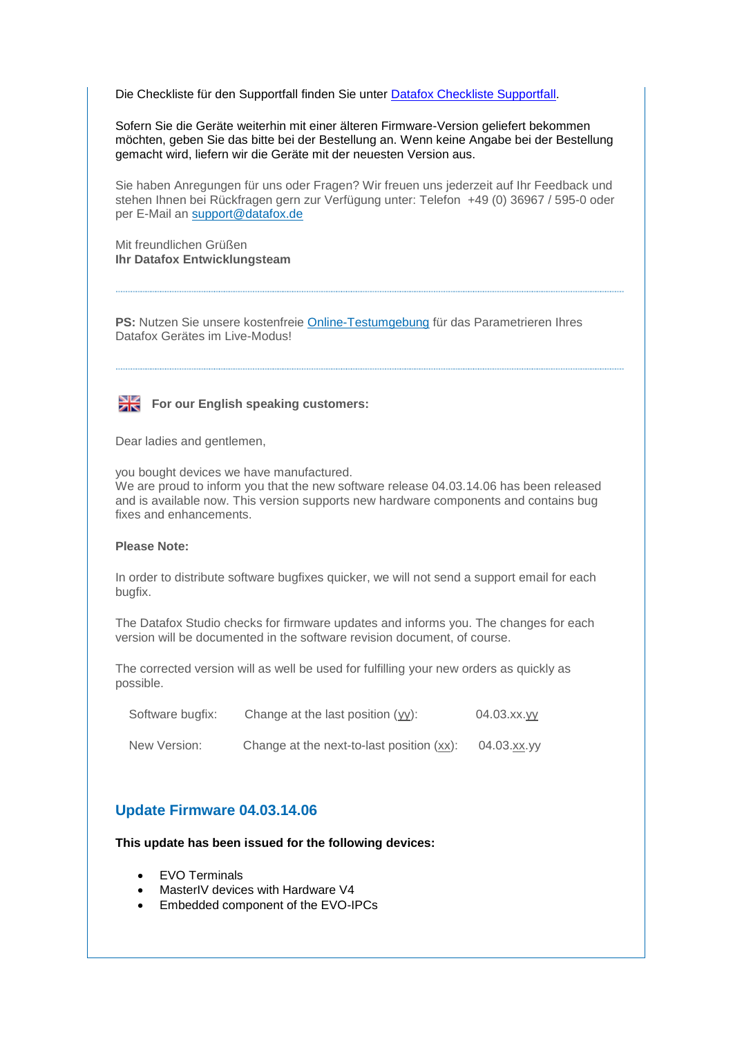Die Checkliste für den Supportfall finden Sie unter **Datafox Checkliste Supportfall**.

Sofern Sie die Geräte weiterhin mit einer älteren Firmware-Version geliefert bekommen möchten, geben Sie das bitte bei der Bestellung an. Wenn keine Angabe bei der Bestellung gemacht wird, liefern wir die Geräte mit der neuesten Version aus.

Sie haben Anregungen für uns oder Fragen? Wir freuen uns jederzeit auf Ihr Feedback und stehen Ihnen bei Rückfragen gern zur Verfügung unter: Telefon +49 (0) 36967 / 595-0 oder per E-Mail an [support@datafox.de](mailto:support@datafox.de)

Mit freundlichen Grüßen **Ihr Datafox Entwicklungsteam** 

**PS:** Nutzen Sie unsere kostenfreie [Online-Testumgebung](https://swm.datafox.de/link.php?link=01_02_04_10_3) für das Parametrieren Ihres Datafox Gerätes im Live-Modus!



For our English speaking customers:

Dear ladies and gentlemen,

you bought devices we have manufactured. We are proud to inform you that the new software release 04.03.14.06 has been released and is available now. This version supports new hardware components and contains bug fixes and enhancements.

#### **Please Note:**

In order to distribute software bugfixes quicker, we will not send a support email for each bugfix.

The Datafox Studio checks for firmware updates and informs you. The changes for each version will be documented in the software revision document, of course.

The corrected version will as well be used for fulfilling your new orders as quickly as possible.

| Software bugfix: | Change at the last position (yy):         | 04.03.xx.yy |
|------------------|-------------------------------------------|-------------|
| New Version:     | Change at the next-to-last position (xx): | 04.03.xx.yy |

# **Update Firmware 04.03.14.06**

**This update has been issued for the following devices:**

- EVO Terminals
- MasterIV devices with Hardware V4
- Embedded component of the EVO-IPCs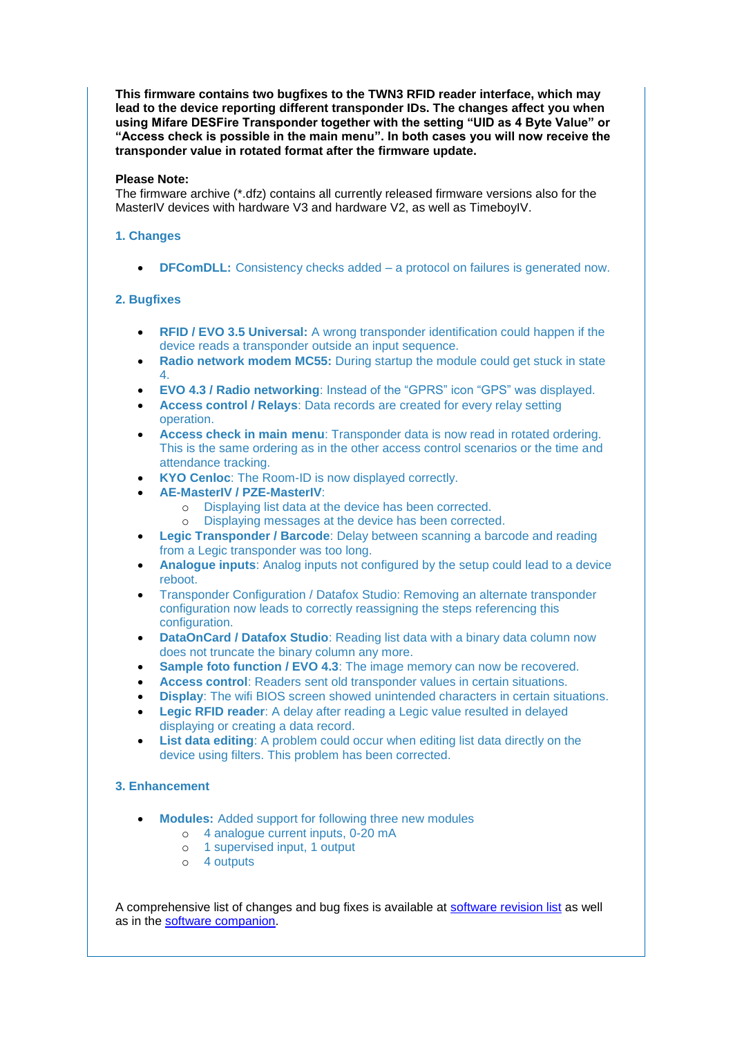**This firmware contains two bugfixes to the TWN3 RFID reader interface, which may lead to the device reporting different transponder IDs. The changes affect you when using Mifare DESFire Transponder together with the setting "UID as 4 Byte Value" or "Access check is possible in the main menu". In both cases you will now receive the transponder value in rotated format after the firmware update.**

#### **Please Note:**

The firmware archive (\*.dfz) contains all currently released firmware versions also for the MasterIV devices with hardware V3 and hardware V2, as well as TimeboyIV.

## **1. Changes**

**DFComDLL:** Consistency checks added – a protocol on failures is generated now.

#### **2. Bugfixes**

- **RFID / EVO 3.5 Universal:** A wrong transponder identification could happen if the device reads a transponder outside an input sequence.
- **Radio network modem MC55:** During startup the module could get stuck in state 4.
- **EVO 4.3 / Radio networking**: Instead of the "GPRS" icon "GPS" was displayed.
- **Access control / Relays**: Data records are created for every relay setting operation.
- **Access check in main menu**: Transponder data is now read in rotated ordering. This is the same ordering as in the other access control scenarios or the time and attendance tracking.
- **KYO Cenloc**: The Room-ID is now displayed correctly.
- **AE-MasterIV / PZE-MasterIV**:
	- o Displaying list data at the device has been corrected.
	- o Displaying messages at the device has been corrected.
- **Legic Transponder / Barcode**: Delay between scanning a barcode and reading from a Legic transponder was too long.
- **Analogue inputs**: Analog inputs not configured by the setup could lead to a device reboot.
- Transponder Configuration / Datafox Studio: Removing an alternate transponder configuration now leads to correctly reassigning the steps referencing this configuration.
- **DataOnCard / Datafox Studio**: Reading list data with a binary data column now does not truncate the binary column any more.
- **Sample foto function / EVO 4.3**: The image memory can now be recovered.
- **Access control**: Readers sent old transponder values in certain situations.
- **Display**: The wifi BIOS screen showed unintended characters in certain situations.
- **Legic RFID reader**: A delay after reading a Legic value resulted in delayed displaying or creating a data record.
- **List data editing**: A problem could occur when editing list data directly on the device using filters. This problem has been corrected.

#### **3. Enhancement**

- **Modules:** Added support for following three new modules
	- o 4 analogue current inputs, 0-20 mA
	- o 1 supervised input, 1 output
	- o 4 outputs

A comprehensive list of changes and bug fixes is available at [software revision list](https://swm.datafox.de/link.php?link=01_02_04_10_24) as well as in the [software companion.](https://swm.datafox.de/link.php?link=01_02_04_10_21)